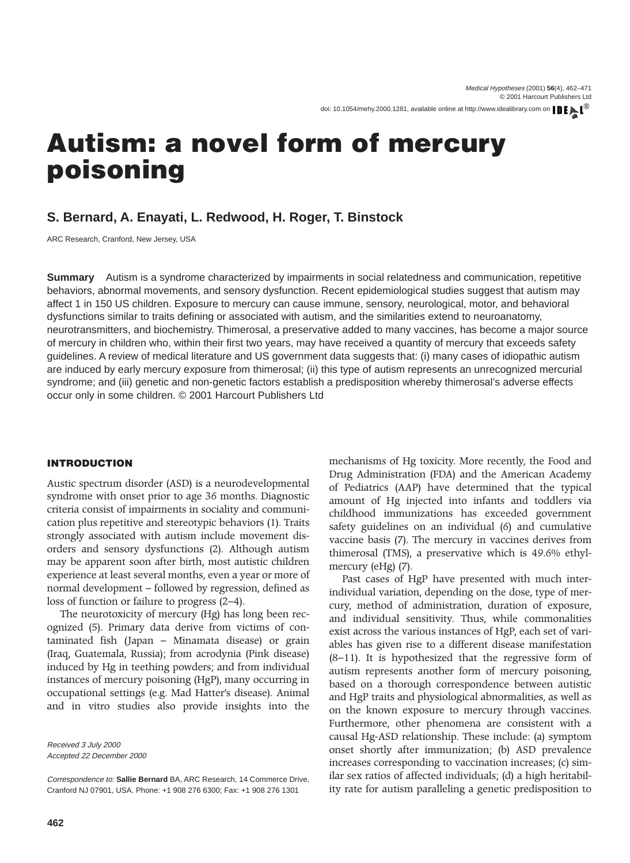doi: 10.1054/mehy.2000.1281, available online at http://www.idealibrary.com on  $\text{IDE} \blacktriangleright \text{LP}^{\textcircled{\tiny{\textcirc}}}$ 

# Autism: a novel form of mercury poisoning

# **S. Bernard, A. Enayati, L. Redwood, H. Roger, T. Binstock**

ARC Research, Cranford, New Jersey, USA

**Summary** Autism is a syndrome characterized by impairments in social relatedness and communication, repetitive behaviors, abnormal movements, and sensory dysfunction. Recent epidemiological studies suggest that autism may affect 1 in 150 US children. Exposure to mercury can cause immune, sensory, neurological, motor, and behavioral dysfunctions similar to traits defining or associated with autism, and the similarities extend to neuroanatomy, neurotransmitters, and biochemistry. Thimerosal, a preservative added to many vaccines, has become a major source of mercury in children who, within their first two years, may have received a quantity of mercury that exceeds safety guidelines. A review of medical literature and US government data suggests that: (i) many cases of idiopathic autism are induced by early mercury exposure from thimerosal; (ii) this type of autism represents an unrecognized mercurial syndrome; and (iii) genetic and non-genetic factors establish a predisposition whereby thimerosal's adverse effects occur only in some children. © 2001 Harcourt Publishers Ltd

### INTRODUCTION

Austic spectrum disorder (ASD) is a neurodevelopmental syndrome with onset prior to age 36 months. Diagnostic criteria consist of impairments in sociality and communication plus repetitive and stereotypic behaviors [\(1\).](#page-5-0) Traits strongly associated with autism include movement disorders and sensory dysfunctions [\(2\).](#page-5-1) Although autism may be apparent soon after birth, most autistic children experience at least several months, even a year or more of normal development – followed by regression, defined as loss of function or failure to progress [\(2–4\).](#page-5-1) 

The neurotoxicity of mercury (Hg) has long been recognized [\(5\).](#page-5-2) Primary data derive from victims of contaminated fish (Japan – Minamata disease) or grain (Iraq, Guatemala, Russia); from acrodynia (Pink disease) induced by Hg in teething powders; and from individual instances of mercury poisoning (HgP), many occurring in occupational settings (e.g. Mad Hatter's disease). Animal and in vitro studies also provide insights into the

Received 3 July 2000 Accepted 22 December 2000

**462**

mechanisms of Hg toxicity. More recently, the Food and Drug Administration (FDA) and the American Academy of Pediatrics (AAP) have determined that the typical amount of Hg injected into infants and toddlers via childhood immunizations has exceeded government safety guidelines on an individual [\(6\)](#page-5-3) and cumulative vaccine basis [\(7\).](#page-5-4) The mercury in vaccines derives from thimerosal (TMS), a preservative which is 49.6% ethylmercury (eHg) [\(7\).](#page-5-4)

Past cases of HgP have presented with much interindividual variation, depending on the dose, type of mercury, method of administration, duration of exposure, and individual sensitivity. Thus, while commonalities exist across the various instances of HgP, each set of variables has given rise to a different disease manifestation [\(8–11\).](#page-5-5) It is hypothesized that the regressive form of autism represents another form of mercury poisoning, based on a thorough correspondence between autistic and HgP traits and physiological abnormalities, as well as on the known exposure to mercury through vaccines. Furthermore, other phenomena are consistent with a causal Hg-ASD relationship. These include: (a) symptom onset shortly after immunization; (b) ASD prevalence increases corresponding to vaccination increases; (c) similar sex ratios of affected individuals; (d) a high heritability rate for autism paralleling a genetic predisposition to

Correspondence to: **Sallie Bernard** BA, ARC Research, 14 Commerce Drive, Cranford NJ 07901, USA. Phone: +1 908 276 6300; Fax: +1 908 276 1301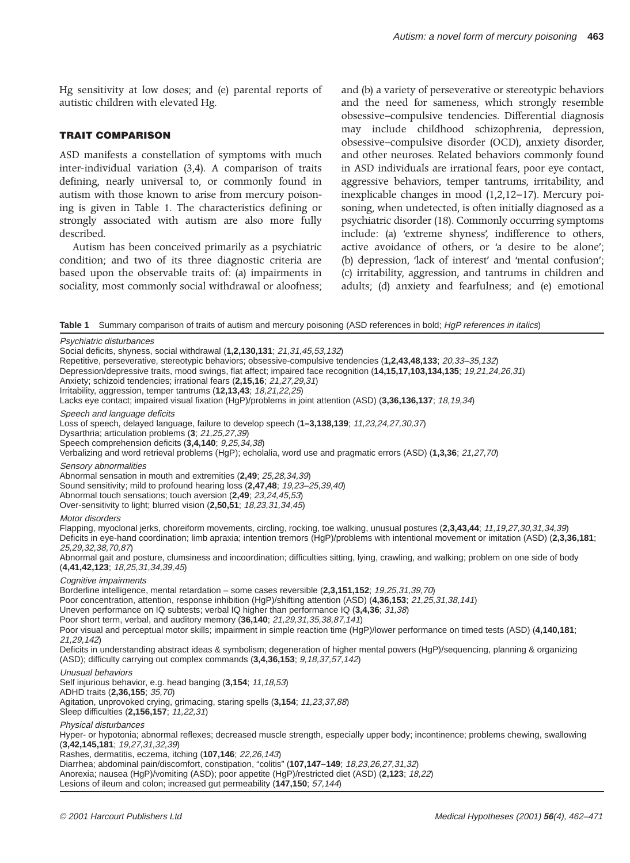Hg sensitivity at low doses; and (e) parental reports of autistic children with elevated Hg.

# TRAIT COMPARISON

ASD manifests a constellation of symptoms with much inter-individual variation [\(3,4\).](#page-5-6) A comparison of traits defining, nearly universal to, or commonly found in autism with those known to arise from mercury poisoning is given in [Table 1.](#page-1-0) The characteristics defining or strongly associated with autism are also more fully described.

Autism has been conceived primarily as a psychiatric condition; and two of its three diagnostic criteria are based upon the observable traits of: (a) impairments in sociality, most commonly social withdrawal or aloofness; and (b) a variety of perseverative or stereotypic behaviors and the need for sameness, which strongly resemble obsessive–compulsive tendencies. Differential diagnosis may include childhood schizophrenia, depression, obsessive–compulsive disorder (OCD), anxiety disorder, and other neuroses. Related behaviors commonly found in ASD individuals are irrational fears, poor eye contact, aggressive behaviors, temper tantrums, irritability, and inexplicable changes in mood [\(1,2](#page-5-7)[,12–17\).](#page-5-8) Mercury poisoning, when undetected, is often initially diagnosed as a psychiatric disorder [\(18\).](#page-5-9) Commonly occurring symptoms include: (a) 'extreme shyness', indifference to others, active avoidance of others, or 'a desire to be alone'; (b) depression, 'lack of interest' and 'mental confusion'; (c) irritability, aggression, and tantrums in children and adults; (d) anxiety and fearfulness; and (e) emotional

<span id="page-1-0"></span>Table 1 Summary comparison of traits of autism and mercury poisoning (ASD references in bold; HgP references in italics)

Social deficits, shyness, social withdrawal (**1,2,130,131**; 21,31,45,53,132)

Repetitive, perseverative, stereotypic behaviors; obsessive-compulsive tendencies (**1,2,43,48,133**; 20,33–35,132)

Depression/depressive traits, mood swings, flat affect; impaired face recognition (**14,15,17,103,134,135**; 19,21,24,26,31)

Anxiety; schizoid tendencies; irrational fears (**2,15,16**; 21,27,29,31)

Irritability, aggression, temper tantrums (**12,13,43**; 18,21,22,25)

Lacks eye contact; impaired visual fixation (HgP)/problems in joint attention (ASD) (**3,36,136,137**; 18,19,34)

Speech and language deficits

Loss of speech, delayed language, failure to develop speech (**1–3,138,139**; 11,23,24,27,30,37)

Dysarthria; articulation problems (**3**; 21,25,27,39)

Speech comprehension deficits (**3,4,140**; 9,25,34,38)

Verbalizing and word retrieval problems (HgP); echolalia, word use and pragmatic errors (ASD) (**1,3,36**; 21,27,70)

Sensory abnormalities

Abnormal sensation in mouth and extremities (**2,49**; 25,28,34,39)

Sound sensitivity; mild to profound hearing loss (**2,47,48**; 19,23–25,39,40)

Abnormal touch sensations; touch aversion (**2,49**; 23,24,45,53)

Over-sensitivity to light; blurred vision (**2,50,51**; 18,23,31,34,45)

#### Motor disorders

Flapping, myoclonal jerks, choreiform movements, circling, rocking, toe walking, unusual postures (**2,3,43,44**; 11,19,27,30,31,34,39) Deficits in eye-hand coordination; limb apraxia; intention tremors (HgP)/problems with intentional movement or imitation (ASD) (**2,3,36,181**; 25,29,32,38,70,87)

Abnormal gait and posture, clumsiness and incoordination; difficulties sitting, lying, crawling, and walking; problem on one side of body (**4,41,42,123**; 18,25,31,34,39,45)

#### Cognitive impairments

Borderline intelligence, mental retardation – some cases reversible (**2,3,151,152**; 19,25,31,39,70)

- Poor concentration, attention, response inhibition (HgP)/shifting attention (ASD) (**4,36,153**; 21,25,31,38,141)
- Uneven performance on IQ subtests; verbal IQ higher than performance IQ (**3,4,36**; 31,38)

Poor short term, verbal, and auditory memory (**36,140**; 21,29,31,35,38,87,141)

Poor visual and perceptual motor skills; impairment in simple reaction time (HgP)/lower performance on timed tests (ASD) (**4,140,181**; 21,29,142)

Deficits in understanding abstract ideas & symbolism; degeneration of higher mental powers (HgP)/sequencing, planning & organizing (ASD); difficulty carrying out complex commands (**3,4,36,153**; 9,18,37,57,142)

Unusual behaviors

Self injurious behavior, e.g. head banging (**3,154**; 11,18,53)

ADHD traits (**2,36,155**; 35,70)

Agitation, unprovoked crying, grimacing, staring spells (**3,154**; 11,23,37,88) Sleep difficulties (**2,156,157**; 11,22,31)

Physical disturbances

Hyper- or hypotonia; abnormal reflexes; decreased muscle strength, especially upper body; incontinence; problems chewing, swallowing (**3,42,145,181**; 19,27,31,32,39)

Rashes, dermatitis, eczema, itching (**107,146**; 22,26,143)

Diarrhea; abdominal pain/discomfort, constipation, "colitis" (**107,147–149**; 18,23,26,27,31,32) Anorexia; nausea (HgP)/vomiting (ASD); poor appetite (HgP)/restricted diet (ASD) (**2,123**; 18,22) Lesions of ileum and colon; increased gut permeability (**147,150**; 57,144)

Psychiatric disturbances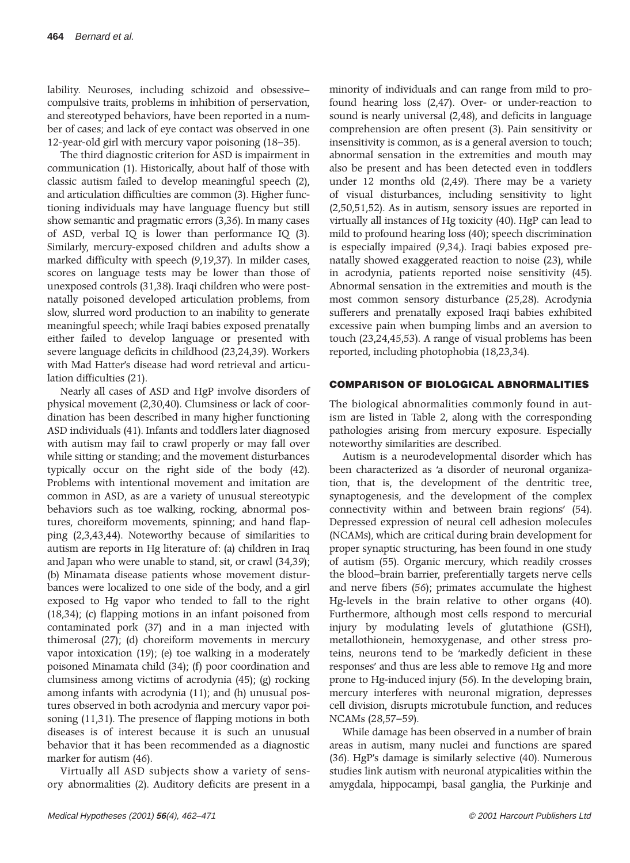lability. Neuroses, including schizoid and obsessive– compulsive traits, problems in inhibition of perservation, and stereotyped behaviors, have been reported in a number of cases; and lack of eye contact was observed in one 12-year-old girl with mercury vapor poisoning [\(18–35\).](#page-5-9) 

The third diagnostic criterion for ASD is impairment in communication [\(1\).](#page-5-10) Historically, about half of those with classic autism failed to develop meaningful speech [\(2\),](#page-5-11) and articulation difficulties are common [\(3\).](#page-5-12) Higher functioning individuals may have language fluency but still show semantic and pragmatic errors [\(3](#page-5-12)[,36\).](#page-6-0) In many cases of ASD, verbal IQ is lower than performance IQ [\(3\).](#page-5-13) Similarly, mercury-exposed children and adults show a marked difficulty with speech [\(9,](#page-5-14)[19,](#page-6-1)[37\)](#page-6-2). In milder cases, scores on language tests may be lower than those of unexposed controls [\(31](#page-6-3)[,38\)](#page-6-2). Iraqi children who were postnatally poisoned developed articulation problems, from slow, slurred word production to an inability to generate meaningful speech; while Iraqi babies exposed prenatally either failed to develop language or presented with severe language deficits in childhood ([23](#page-6-4)[,24,](#page-6-5)[39\)](#page-6-2). Workers with Mad Hatter's disease had word retrieval and articulation difficulties [\(21\).](#page-6-6) 

Nearly all cases of ASD and HgP involve disorders of physical movement [\(2,](#page-5-15)[30,](#page-6-7)[40\).](#page-6-8) Clumsiness or lack of coordination has been described in many higher functioning ASD individuals [\(41\).](#page-6-9) Infants and toddlers later diagnosed with autism may fail to crawl properly or may fall over while sitting or standing; and the movement disturbances typically occur on the right side of the body [\(42\).](#page-6-10) Problems with intentional movement and imitation are common in ASD, as are a variety of unusual stereotypic behaviors such as toe walking, rocking, abnormal postures, choreiform movements, spinning; and hand flapping [\(2,3,](#page-5-16)[43,44\).](#page-6-11) Noteworthy because of similarities to autism are reports in Hg literature of: (a) children in Iraq and Japan who were unable to stand, sit, or crawl [\(34,](#page-6-12)[39\);](#page-6-13) (b) Minamata disease patients whose movement disturbances were localized to one side of the body, and a girl exposed to Hg vapor who tended to fall to the right [\(18,](#page-5-17)[34\);](#page-6-16) (c) flapping motions in an infant poisoned from contaminated pork [\(37\)](#page-6-17) and in a man injected with thimerosal [\(27\);](#page-6-15) (d) choreiform movements in mercury vapor intoxication [\(19\);](#page-6-14) (e) toe walking in a moderately poisoned Minamata child [\(34\);](#page-6-16) (f) poor coordination and clumsiness among victims of acrodynia [\(45\);](#page-6-19) (g) rocking among infants with acrodynia [\(11\);](#page-5-18) and (h) unusual postures observed in both acrodynia and mercury vapor poisoning [\(11,](#page-5-18)[31\).](#page-6-18) The presence of flapping motions in both diseases is of interest because it is such an unusual behavior that it has been recommended as a diagnostic marker for autism [\(46\).](#page-6-20)

Virtually all ASD subjects show a variety of sensory abnormalities [\(2\).](#page-5-19) Auditory deficits are present in a minority of individuals and can range from mild to profound hearing loss [\(2,](#page-5-20)[47\).](#page-6-22) Over- or under-reaction to sound is nearly universal [\(2,](#page-5-20)[48\),](#page-6-21) and deficits in language comprehension are often present [\(3\).](#page-5-21) Pain sensitivity or insensitivity is common, as is a general aversion to touch; abnormal sensation in the extremities and mouth may also be present and has been detected even in toddlers under 12 months old [\(2,](#page-5-20)[49\).](#page-6-23) There may be a variety of visual disturbances, including sensitivity to light [\(2,](#page-5-20)[50,51,52\).](#page-6-24) As in autism, sensory issues are reported in virtually all instances of Hg toxicity [\(40\).](#page-6-25) HgP can lead to mild to profound hearing loss [\(40\);](#page-6-25) speech discrimination is especially impaired [\(9,](#page-5-22)[34,\).](#page-6-26) Iraqi babies exposed prenatally showed exaggerated reaction to noise [\(23\),](#page-6-27) while in acrodynia, patients reported noise sensitivity [\(45\).](#page-6-28) Abnormal sensation in the extremities and mouth is the most common sensory disturbance [\(25,](#page-6-29)[28\).](#page-6-30) Acrodynia sufferers and prenatally exposed Iraqi babies exhibited excessive pain when bumping limbs and an aversion to touch [\(23,24,](#page-6-31)[45,](#page-6-19)[53\).](#page-6-32) A range of visual problems has been reported, including photophobia [\(18,](#page-5-9)[23,](#page-6-33)[34\).](#page-6-34) 

# COMPARISON OF BIOLOGICAL ABNORMALITIES

The biological abnormalities commonly found in autism are listed in [Table 2,](#page-3-0) along with the corresponding pathologies arising from mercury exposure. Especially noteworthy similarities are described.

Autism is a neurodevelopmental disorder which has been characterized as 'a disorder of neuronal organization, that is, the development of the dentritic tree, synaptogenesis, and the development of the complex connectivity within and between brain regions' [\(54\).](#page-6-35) Depressed expression of neural cell adhesion molecules (NCAMs), which are critical during brain development for proper synaptic structuring, has been found in one study of autism [\(55\).](#page-6-36) Organic mercury, which readily crosses the blood–brain barrier, preferentially targets nerve cells and nerve fibers [\(56\);](#page-6-37) primates accumulate the highest Hg-levels in the brain relative to other organs [\(40\).](#page-6-17) Furthermore, although most cells respond to mercurial injury by modulating levels of glutathione (GSH), metallothionein, hemoxygenase, and other stress proteins, neurons tend to be 'markedly deficient in these responses' and thus are less able to remove Hg and more prone to Hg-induced injury [\(56\).](#page-6-37) In the developing brain, mercury interferes with neuronal migration, depresses cell division, disrupts microtubule function, and reduces NCAMs [\(28,](#page-6-38)[57–59\).](#page-6-39)

While damage has been observed in a number of brain areas in autism, many nuclei and functions are spared [\(36\).](#page-6-40) HgP's damage is similarly selective [\(40\).](#page-6-13) Numerous studies link autism with neuronal atypicalities within the amygdala, hippocampi, basal ganglia, the Purkinje and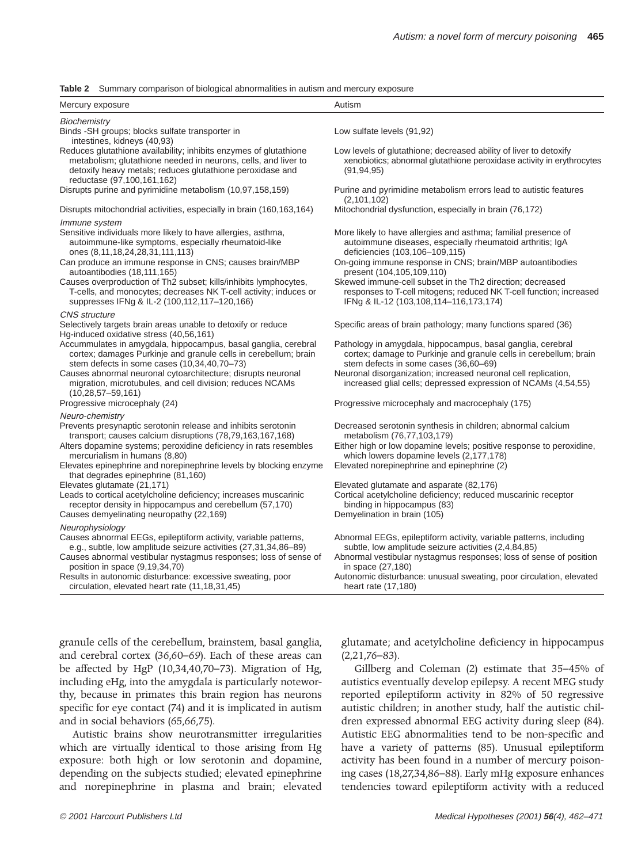|  |  |  | Table 2 Summary comparison of biological abnormalities in autism and mercury exposure |
|--|--|--|---------------------------------------------------------------------------------------|
|  |  |  |                                                                                       |

<span id="page-3-0"></span>

| Mercury exposure                                                                                                                                                                                                               | Autism                                                                                                                                                                     |  |  |
|--------------------------------------------------------------------------------------------------------------------------------------------------------------------------------------------------------------------------------|----------------------------------------------------------------------------------------------------------------------------------------------------------------------------|--|--|
| Biochemistry                                                                                                                                                                                                                   |                                                                                                                                                                            |  |  |
| Binds -SH groups; blocks sulfate transporter in<br>intestines, kidneys (40,93)                                                                                                                                                 | Low sulfate levels (91,92)                                                                                                                                                 |  |  |
| Reduces glutathione availability; inhibits enzymes of glutathione<br>metabolism; glutathione needed in neurons, cells, and liver to<br>detoxify heavy metals; reduces glutathione peroxidase and<br>reductase (97,100,161,162) | Low levels of glutathione; decreased ability of liver to detoxify<br>xenobiotics; abnormal glutathione peroxidase activity in erythrocytes<br>(91, 94, 95)                 |  |  |
| Disrupts purine and pyrimidine metabolism (10,97,158,159)                                                                                                                                                                      | Purine and pyrimidine metabolism errors lead to autistic features<br>(2,101,102)                                                                                           |  |  |
| Disrupts mitochondrial activities, especially in brain (160,163,164)                                                                                                                                                           | Mitochondrial dysfunction, especially in brain (76,172)                                                                                                                    |  |  |
| Immune system                                                                                                                                                                                                                  |                                                                                                                                                                            |  |  |
| Sensitive individuals more likely to have allergies, asthma,<br>autoimmune-like symptoms, especially rheumatoid-like<br>ones (8,11,18,24,28,31,111,113)                                                                        | More likely to have allergies and asthma; familial presence of<br>autoimmune diseases, especially rheumatoid arthritis; IgA<br>deficiencies (103,106-109,115)              |  |  |
| Can produce an immune response in CNS; causes brain/MBP<br>autoantibodies (18,111,165)                                                                                                                                         | On-going immune response in CNS; brain/MBP autoantibodies<br>present (104,105,109,110)                                                                                     |  |  |
| Causes overproduction of Th2 subset; kills/inhibits lymphocytes,<br>T-cells, and monocytes; decreases NK T-cell activity; induces or<br>suppresses IFNg & IL-2 (100,112,117-120,166)                                           | Skewed immune-cell subset in the Th2 direction; decreased<br>responses to T-cell mitogens; reduced NK T-cell function; increased<br>IFNg & IL-12 (103,108,114-116,173,174) |  |  |
| <b>CNS</b> structure<br>Selectively targets brain areas unable to detoxify or reduce<br>Hg-induced oxidative stress (40,56,161)                                                                                                | Specific areas of brain pathology; many functions spared (36)                                                                                                              |  |  |
| Accummulates in amygdala, hippocampus, basal ganglia, cerebral<br>cortex; damages Purkinje and granule cells in cerebellum; brain<br>stem defects in some cases (10,34,40,70-73)                                               | Pathology in amygdala, hippocampus, basal ganglia, cerebral<br>cortex; damage to Purkinje and granule cells in cerebellum; brain<br>stem defects in some cases (36,60-69)  |  |  |
| Causes abnormal neuronal cytoarchitecture; disrupts neuronal<br>migration, microtubules, and cell division; reduces NCAMs<br>$(10, 28, 57 - 59, 161)$                                                                          | Neuronal disorganization; increased neuronal cell replication,<br>increased glial cells; depressed expression of NCAMs (4,54,55)                                           |  |  |
| Progressive microcephaly (24)                                                                                                                                                                                                  | Progressive microcephaly and macrocephaly (175)                                                                                                                            |  |  |
| Neuro-chemistry<br>Prevents presynaptic serotonin release and inhibits serotonin                                                                                                                                               | Decreased serotonin synthesis in children; abnormal calcium                                                                                                                |  |  |
| transport; causes calcium disruptions (78,79,163,167,168)<br>Alters dopamine systems; peroxidine deficiency in rats resembles                                                                                                  | metabolism (76,77,103,179)<br>Either high or low dopamine levels; positive response to peroxidine,                                                                         |  |  |
| mercurialism in humans (8,80)                                                                                                                                                                                                  | which lowers dopamine levels (2,177,178)                                                                                                                                   |  |  |
| Elevates epinephrine and norepinephrine levels by blocking enzyme<br>that degrades epinephrine (81,160)                                                                                                                        | Elevated norepinephrine and epinephrine (2)                                                                                                                                |  |  |
| Elevates glutamate (21,171)                                                                                                                                                                                                    | Elevated glutamate and asparate (82,176)                                                                                                                                   |  |  |
| Leads to cortical acetylcholine deficiency; increases muscarinic<br>receptor density in hippocampus and cerebellum (57,170)                                                                                                    | Cortical acetylcholine deficiency; reduced muscarinic receptor<br>binding in hippocampus (83)                                                                              |  |  |
| Causes demyelinating neuropathy (22,169)                                                                                                                                                                                       | Demyelination in brain (105)                                                                                                                                               |  |  |
| Neurophysiology<br>Causes abnormal EEGs, epileptiform activity, variable patterns,<br>e.g., subtle, low amplitude seizure activities (27,31,34,86-89)                                                                          | Abnormal EEGs, epileptiform activity, variable patterns, including<br>subtle, low amplitude seizure activities (2,4,84,85)                                                 |  |  |
| Causes abnormal vestibular nystagmus responses; loss of sense of<br>position in space (9,19,34,70)                                                                                                                             | Abnormal vestibular nystagmus responses; loss of sense of position<br>in space (27,180)                                                                                    |  |  |
| Results in autonomic disturbance: excessive sweating, poor<br>circulation, elevated heart rate (11,18,31,45)                                                                                                                   | Autonomic disturbance: unusual sweating, poor circulation, elevated<br>heart rate (17,180)                                                                                 |  |  |

granule cells of the cerebellum, brainstem, basal ganglia, and cerebral cortex [\(36,](#page-6-41)[60–69\).](#page-6-42) Each of these areas can be affected by HgP [\(10,](#page-5-23)[34,](#page-6-43)[40,](#page-6-9)[70–73\).](#page-7-0) Migration of Hg, including eHg, into the amygdala is particularly noteworthy, because in primates this brain region has neurons specific for eye contact [\(74\)](#page-7-1) and it is implicated in autism and in social behaviors [\(65,66](#page-7-2)[,75\).](#page-7-3)

Autistic brains show neurotransmitter irregularities which are virtually identical to those arising from Hg exposure: both high or low serotonin and dopamine, depending on the subjects studied; elevated epinephrine and norepinephrine in plasma and brain; elevated glutamate; and acetylcholine deficiency in hippocampus [\(2](#page-5-20)[,21](#page-6-44)[,76–83\).](#page-7-4) 

Gillberg and Coleman [\(2\)](#page-5-20) estimate that 35–45% of autistics eventually develop epilepsy. A recent MEG study reported epileptiform activity in 82% of 50 regressive autistic children; in another study, half the autistic children expressed abnormal EEG activity during sleep [\(84\).](#page-7-5) Autistic EEG abnormalities tend to be non-specific and have a variety of patterns [\(85\).](#page-7-6) Unusual epileptiform activity has been found in a number of mercury poisoning cases [\(18,](#page-5-24)[27,](#page-6-45)[34,](#page-6-46)[86–88\).](#page-7-7) Early mHg exposure enhances tendencies toward epileptiform activity with a reduced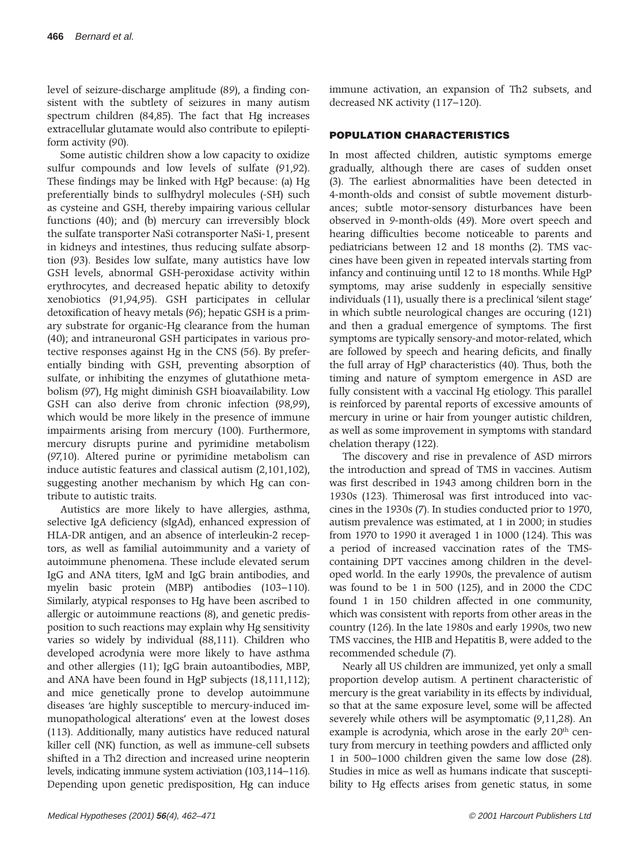level of seizure-discharge amplitude [\(89\),](#page-7-8) a finding consistent with the subtlety of seizures in many autism spectrum children [\(84,85\).](#page-7-9) The fact that Hg increases extracellular glutamate would also contribute to epileptiform activity [\(90\).](#page-7-10) 

Some autistic children show a low capacity to oxidize sulfur compounds and low levels of sulfate [\(91,92\).](#page-7-11) These findings may be linked with HgP because: (a) Hg preferentially binds to sulfhydryl molecules (-SH) such as cysteine and GSH, thereby impairing various cellular functions [\(40\);](#page-6-8) and (b) mercury can irreversibly block the sulfate transporter NaSi cotransporter NaSi-1, present in kidneys and intestines, thus reducing sulfate absorption [\(93\).](#page-7-12) Besides low sulfate, many autistics have low GSH levels, abnormal GSH-peroxidase activity within erythrocytes, and decreased hepatic ability to detoxify xenobiotics [\(91,](#page-7-13)[94,95\).](#page-7-14) GSH participates in cellular detoxification of heavy metals (96); hepatic GSH is a primary substrate for organic-Hg clearance from the human [\(40\);](#page-6-9) and intraneuronal GSH participates in various protective responses against Hg in the CNS [\(56\).](#page-6-47) By preferentially binding with GSH, preventing absorption of sulfate, or inhibiting the enzymes of glutathione metabolism [\(97\),](#page-7-15) Hg might diminish GSH bioavailability. Low GSH can also derive from chronic infection [\(98,99\),](#page-7-16) which would be more likely in the presence of immune impairments arising from mercury [\(100\).](#page-7-17) Furthermore, mercury disrupts purine and pyrimidine metabolism [\(97,](#page-7-15)[10\)](#page-5-25). Altered purine or pyrimidine metabolism can induce autistic features and classical autism [\(2,](#page-5-19)[101,102\),](#page-7-18) suggesting another mechanism by which Hg can contribute to autistic traits.

Autistics are more likely to have allergies, asthma, selective IgA deficiency (sIgAd), enhanced expression of HLA-DR antigen, and an absence of interleukin-2 receptors, as well as familial autoimmunity and a variety of autoimmune phenomena. These include elevated serum IgG and ANA titers, IgM and IgG brain antibodies, and myelin basic protein (MBP) antibodies (103–110). Similarly, atypical responses to Hg have been ascribed to allergic or autoimmune reactions [\(8\),](#page-5-26) and genetic predisposition to such reactions may explain why Hg sensitivity varies so widely by individual [\(88,](#page-7-19)[111\).](#page-8-1) Children who developed acrodynia were more li[kely to hav](#page-8-0)e asthma and other allergies [\(11\);](#page-5-27) IgG brain autoantibodies, MBP, and ANA have been found in HgP subjects [\(18,](#page-5-9)[111,112\);](#page-8-1) and mice genetically prone to develop autoimmune diseases 'are highly susceptible to mercury-induced immunopathological alterations' even at the lowest doses [\(113\).](#page-8-2) Additionally, many autistics have reduced natural killer cell (NK) function, as well as immune-cell subsets shifted in a Th2 direction and increased urine neopterin levels, indicating immune system activiation [\(103,](#page-8-0)[114–116\).](#page-8-3) Depending upon genetic predisposition, Hg can induce

immune activation, an expansion of Th2 subsets, and decreased NK activity [\(117–120\).](#page-8-4)

# POPULATION CHARACTERISTICS

In most affected children, autistic symptoms emerge gradually, although there are cases of sudden onset [\(3\).](#page-5-28) The earliest abnormalities have been detected in 4-month-olds and consist of subtle movement disturbances; subtle motor-sensory disturbances have been observed in 9-month-olds [\(49\).](#page-6-48) More overt speech and hearing difficulties become noticeable to parents and pediatricians between 12 and 18 months [\(2\).](#page-5-29) TMS vaccines have been given in repeated intervals starting from infancy and continuing until 12 to 18 months. While HgP symptoms, may arise suddenly in especially sensitive individuals [\(11\),](#page-5-30) usually there is a preclinical 'silent stage' in which subtle neurological changes are occuring [\(121\)](#page-8-5) and then a gradual emergence of symptoms. The first symptoms are typically sensory-and motor-related, which are followed by speech and hearing deficits, and finally the full array of HgP characteristics [\(40\).](#page-6-17) Thus, both the timing and nature of symptom emergence in ASD are fully consistent with a vaccinal Hg etiology. This parallel is reinforced by parental reports of excessive amounts of mercury in urine or hair from younger autistic children, as well as some improvement in symptoms with standard chelation therapy [\(122\).](#page-8-5)

The discovery and rise in prevalence of ASD mirrors the introduction and spread of TMS in vaccines. Autism was first described in 1943 among children born in the 1930s [\(123\).](#page-8-5) Thimerosal was first introduced into vaccines in the 1930s [\(7\).](#page-5-31) In studies conducted prior to 1970, autism prevalence was estimated, at 1 in 2000; in studies from 1970 to 1990 it averaged 1 in 1000 [\(124\).](#page-8-6) This was a period of increased vaccination rates of the TMScontaining DPT vaccines among children in the developed world. In the early 1990s, the prevalence of autism was found to be 1 in 500 [\(125\),](#page-8-7) and in 2000 the CDC found 1 in 150 children affected in one community, which was consistent with reports from other areas in the country [\(126\).](#page-8-8) In the late 1980s and early 1990s, two new TMS vaccines, the HIB and Hepatitis B, were added to the recommended schedule [\(7\).](#page-5-31)

Nearly all US children are immunized, yet only a small proportion develop autism. A pertinent characteristic of mercury is the great variability in its effects by individual, so that at the same exposure level, some will be affected severely while others will be asymptomatic [\(9,](#page-5-32)[11,](#page-5-33)[28\).](#page-6-49) An example is acrodynia, which arose in the early 20<sup>th</sup> century from mercury in teething powders and afflicted only 1 in 500–1000 children given the same low dose [\(28\).](#page-6-49) Studies in mice as well as humans indicate that susceptibility to Hg effects arises from genetic status, in some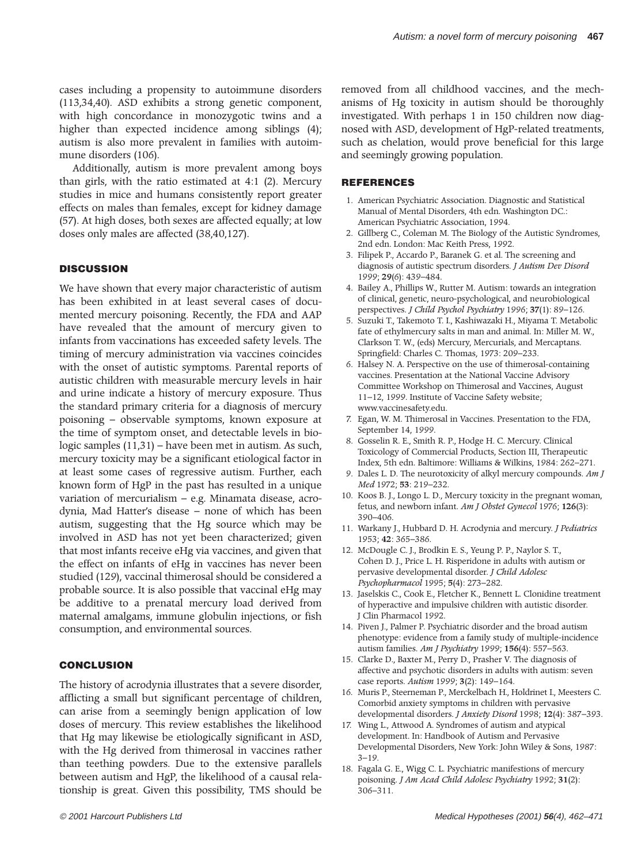cases including a propensity to autoimmune disorders [\(113](#page-8-9)[,34,](#page-6-50)[40\).](#page-6-13) ASD exhibits a strong genetic component, with high concordance in monozygotic twins and a higher than expected incidence among siblings [\(4\);](#page-5-34) autism is also more prevalent in families with autoimmune disorders [\(106\).](#page-8-10) 

Additionally, autism is more prevalent among boys than girls, with the ratio estimated at 4:1 [\(2\).](#page-5-35) Mercury studies in mice and humans consistently report greater effects on males than females, except for kidney damage [\(57\).](#page-6-51) At high doses, both sexes are affected equally; at low doses only males are affected [\(38,](#page-6-25)[40,](#page-6-9)[127\).](#page-8-11) 

# **DISCUSSION**

We have shown that every major characteristic of autism has been exhibited in at least several cases of documented mercury poisoning. Recently, the FDA and AAP have revealed that the amount of mercury given to infants from vaccinations has exceeded safety levels. The timing of mercury administration via vaccines coincides with the onset of autistic symptoms. Parental reports of autistic children with measurable mercury levels in hair and urine indicate a history of mercury exposure. Thus the standard primary criteria for a diagnosis of mercury poisoning – observable symptoms, known exposure at the time of symptom onset, and detectable levels in biologic samples [\(11](#page-5-36)[,31\)](#page-6-52) – have been met in autism. As such, mercury toxicity may be a significant etiological factor in at least some cases of regressive autism. Further, each known form of HgP in the past has resulted in a unique variation of mercurialism – e.g. Minamata disease, acrodynia, Mad Hatter's disease – none of which has been autism, suggesting that the Hg source which may be involved in ASD has not yet been characterized; given that most infants receive eHg via vaccines, and given that the effect on infants of eHg in vaccines has never been studied [\(129\),](#page-8-12) vaccinal thimerosal should be considered a probable source. It is also possible that vaccinal eHg may be additive to a prenatal mercury load derived from maternal amalgams, immune globulin injections, or fish consumption, and environmental sources.

#### CONCLUSION

The history of acrodynia illustrates that a severe disorder, afflicting a small but significant percentage of children, can arise from a seemingly benign application of low doses of mercury. This review establishes the likelihood that Hg may likewise be etiologically significant in ASD, with the Hg derived from thimerosal in vaccines rather than teething powders. Due to the extensive parallels between autism and HgP, the likelihood of a causal relationship is great. Given this possibility, TMS should be

removed from all childhood vaccines, and the mechanisms of Hg toxicity in autism should be thoroughly investigated. With perhaps 1 in 150 children now diagnosed with ASD, development of HgP-related treatments, such as chelation, would prove beneficial for this large and seemingly growing population.

#### REFERENCES

- <span id="page-5-10"></span><span id="page-5-7"></span><span id="page-5-0"></span>1. American Psychiatric Association. Diagnostic and Statistical Manual of Mental Disorders, 4th edn. Washington DC.: American Psychiatric Association, 1994.
- <span id="page-5-35"></span><span id="page-5-29"></span><span id="page-5-20"></span><span id="page-5-19"></span><span id="page-5-16"></span><span id="page-5-15"></span><span id="page-5-11"></span><span id="page-5-1"></span>2. Gillberg C., Coleman M. The Biology of the Autistic Syndromes, 2nd edn. London: Mac Keith Press, 1992.
- <span id="page-5-28"></span><span id="page-5-21"></span><span id="page-5-12"></span><span id="page-5-6"></span>3. Filipek P., Accardo P., Baranek G. et al. The screening and diagnosis of autistic spectrum disorders. *J Autism Dev Disord* 1999; **29**(6): 439–484.
- <span id="page-5-34"></span>4. Bailey A., Phillips W., Rutter M. Autism: towards an integration of clinical, genetic, neuro-psychological, and neurobiological perspectives. *J Child Psychol Psychiatry* 1996; **37**(1): 89–126.
- <span id="page-5-2"></span>5. Suzuki T., Takemoto T. I., Kashiwazaki H., Miyama T. Metabolic fate of ethylmercury salts in man and animal. In: Miller M. W., Clarkson T. W., (eds) Mercury, Mercurials, and Mercaptans. Springfield: Charles C. Thomas, 1973: 209–233.
- <span id="page-5-3"></span>6. Halsey N. A. Perspective on the use of thimerosal-containing vaccines. Presentation at the National Vaccine Advisory Committee Workshop on Thimerosal and Vaccines, August 11–12, 1999. Institute of Vaccine Safety website; www.vaccinesafety.edu.
- <span id="page-5-31"></span><span id="page-5-4"></span>7. Egan, W. M. Thimerosal in Vaccines. Presentation to the FDA, September 14, 1999.
- <span id="page-5-26"></span><span id="page-5-5"></span>8. Gosselin R. E., Smith R. P., Hodge H. C. Mercury. Clinical Toxicology of Commercial Products, Section III, Therapeutic Index, 5th edn. Baltimore: Williams & Wilkins, 1984: 262–271.
- <span id="page-5-32"></span><span id="page-5-22"></span><span id="page-5-14"></span>9. Dales L. D. The neurotoxicity of alkyl mercury compounds. *Am J Med* 1972; **53**: 219–232.
- <span id="page-5-25"></span><span id="page-5-23"></span>10. Koos B. J., Longo L. D., Mercury toxicity in the pregnant woman, fetus, and newborn infant. *Am J Obstet Gynecol* 1976; **126**(3): 390–406.
- <span id="page-5-36"></span><span id="page-5-33"></span><span id="page-5-30"></span><span id="page-5-27"></span><span id="page-5-18"></span>11. Warkany J., Hubbard D. H. Acrodynia and mercury. *J Pediatrics* 1953; **42**: 365–386.
- <span id="page-5-8"></span>12. McDougle C. J., Brodkin E. S., Yeung P. P., Naylor S. T., Cohen D. J., Price L. H. Risperidone in adults with autism or pervasive developmental disorder. *J Child Adolesc Psychopharmacol* 1995; **5**(4): 273–282.
- <span id="page-5-13"></span>13. Jaselskis C., Cook E., Fletcher K., Bennett L. Clonidine treatment of hyperactive and impulsive children with autistic disorder. J Clin Pharmacol 1992.
- 14. Piven J., Palmer P. Psychiatric disorder and the broad autism phenotype: evidence from a family study of multiple-incidence autism families. *Am J Psychiatry* 1999; **156**(4): 557–563.
- <span id="page-5-24"></span><span id="page-5-17"></span><span id="page-5-9"></span>15. Clarke D., Baxter M., Perry D., Prasher V. The diagnosis of affective and psychotic disorders in adults with autism: seven case reports. *Autism* 1999; **3**(2): 149–164.
- 16. Muris P., Steerneman P., Merckelbach H., Holdrinet I., Meesters C. Comorbid anxiety symptoms in children with pervasive developmental disorders. *J Anxiety Disord* 1998; **12**(4): 387–393.
- 17. Wing L., Attwood A. Syndromes of autism and atypical development. In: Handbook of Autism and Pervasive Developmental Disorders, New York: John Wiley & Sons, 1987:  $3 - 19.$
- 18. Fagala G. E., Wigg C. L. Psychiatric manifestions of mercury poisoning. *J Am Acad Child Adolesc Psychiatry* 1992; **31**(2): 306–311.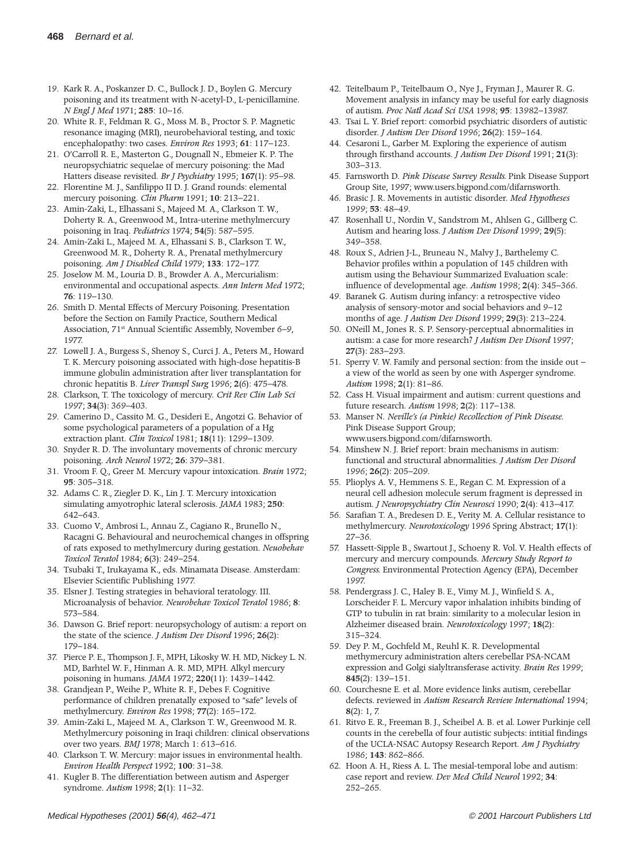- <span id="page-6-14"></span><span id="page-6-1"></span>19. Kark R. A., Poskanzer D. C., Bullock J. D., Boylen G. Mercury poisoning and its treatment with N-acetyl-D., L-penicillamine. *N Engl J Med* 1971; **285**: 10–16.
- 20. White R. F., Feldman R. G., Moss M. B., Proctor S. P. Magnetic resonance imaging (MRI), neurobehavioral testing, and toxic encephalopathy: two cases. *Environ Res* 1993; **61**: 117–123.
- <span id="page-6-44"></span><span id="page-6-6"></span>21. O'Carroll R. E., Masterton G., Dougnall N., Ebmeier K. P. The neuropsychiatric sequelae of mercury poisoning: the Mad Hatters disease revisited. *Br J Psychiatry* 1995; **167**(1): 95–98.
- 22. Florentine M. J., Sanfilippo II D. J. Grand rounds: elemental mercury poisoning. *Clin Pharm* 1991; **10**: 213–221.
- <span id="page-6-33"></span><span id="page-6-31"></span><span id="page-6-27"></span><span id="page-6-4"></span>23. Amin-Zaki, L., Elhassani S., Majeed M. A., Clarkson T. W., Doherty R. A., Greenwood M., Intra-uterine methylmercury poisoning in Iraq. *Pediatrics* 1974; **54**(5): 587–595.
- <span id="page-6-5"></span>24. Amin-Zaki L., Majeed M. A., Elhassani S. B., Clarkson T. W., Greenwood M. R., Doherty R. A., Prenatal methylmercury poisoning. *Am J Disabled Child* 1979; **133**: 172–177.
- <span id="page-6-29"></span>25. Joselow M. M., Louria D. B., Browder A. A., Mercurialism: environmental and occupational aspects. *Ann Intern Med* 1972; **76**: 119–130.
- 26. Smith D. Mental Effects of Mercury Poisoning. Presentation before the Section on Family Practice, Southern Medical Association, 71<sup>st</sup> Annual Scientific Assembly, November 6-9, 1977.
- <span id="page-6-45"></span><span id="page-6-15"></span>27. Lowell J. A., Burgess S., Shenoy S., Curci J. A., Peters M., Howard T. K. Mercury poisoning associated with high-dose hepatitis-B immune globulin administration after liver transplantation for chronic hepatitis B. *Liver Transpl Surg* 1996; **2**(6): 475–478.
- <span id="page-6-49"></span><span id="page-6-38"></span><span id="page-6-30"></span>28. Clarkson, T. The toxicology of mercury. *Crit Rev Clin Lab Sci* 1997; **34**(3): 369–403.
- 29. Camerino D., Cassito M. G., Desideri E., Angotzi G. Behavior of some psychological parameters of a population of a Hg extraction plant. *Clin Toxicol* 1981; **18**(11): 1299–1309.
- <span id="page-6-7"></span>30. Snyder R. D. The involuntary movements of chronic mercury poisoning. *Arch Neurol* 1972; **26**: 379–381.
- <span id="page-6-52"></span><span id="page-6-18"></span><span id="page-6-3"></span>31. Vroom F. Q., Greer M. Mercury vapour intoxication. *Brain* 1972; **95**: 305–318.
- 32. Adams C. R., Ziegler D. K., Lin J. T. Mercury intoxication simulating amyotrophic lateral sclerosis. *JAMA* 1983; **250**: 642–643.
- 33. Cuomo V., Ambrosi L., Annau Z., Cagiano R., Brunello N., Racagni G. Behavioural and neurochemical changes in offspring of rats exposed to methylmercury during gestation. *Neuobehav Toxicol Teratol* 1984; **6**(3): 249–254.
- <span id="page-6-50"></span><span id="page-6-46"></span><span id="page-6-43"></span><span id="page-6-34"></span><span id="page-6-26"></span><span id="page-6-16"></span><span id="page-6-12"></span>34. Tsubaki T., Irukayama K., eds. Minamata Disease. Amsterdam: Elsevier Scientific Publishing 1977.
- 35. Elsner J. Testing strategies in behavioral teratology. III. Microanalysis of behavior. *Neurobehav Toxicol Teratol* 1986; **8**: 573–584.
- <span id="page-6-41"></span><span id="page-6-40"></span><span id="page-6-0"></span>36. Dawson G. Brief report: neuropsychology of autism: a report on the state of the science. *J Autism Dev Disord* 1996; **26**(2): 179–184.
- <span id="page-6-25"></span><span id="page-6-17"></span><span id="page-6-13"></span><span id="page-6-9"></span><span id="page-6-8"></span><span id="page-6-2"></span>37. Pierce P. E., Thompson J. F., MPH, Likosky W. H. MD, Nickey L. N. MD, Barhtel W. F., Hinman A. R. MD, MPH. Alkyl mercury poisoning in humans. *JAMA* 1972; **220**(11): 1439–1442.
- 38. Grandjean P., Weihe P., White R. F., Debes F. Cognitive performance of children prenatally exposed to "safe" levels of methylmercury. *Environ Res* 1998; **77**(2): 165–172.
- 39. Amin-Zaki L., Majeed M. A., Clarkson T. W., Greenwood M. R. Methylmercury poisoning in Iraqi children: clinical observations over two years. *BMJ* 1978; March 1: 613–616.
- 40. Clarkson T. W. Mercury: major issues in environmental health. *Environ Health Perspect* 1992; **100**: 31–38.
- 41. Kugler B. The differentiation between autism and Asperger syndrome. *Autism* 1998; **2**(1): 11–32.
- <span id="page-6-10"></span>42. Teitelbaum P., Teitelbaum O., Nye J., Fryman J., Maurer R. G. Movement analysis in infancy may be useful for early diagnosis of autism. *Proc Natl Acad Sci USA* 1998; **95**: 13982–13987.
- <span id="page-6-11"></span>43. Tsai L. Y. Brief report: comorbid psychiatric disorders of autistic disorder. *J Autism Dev Disord* 1996; **26**(2): 159–164.
- 44. Cesaroni L., Garber M. Exploring the experience of autism through firsthand accounts. *J Autism Dev Disord* 1991; **21**(3): 303–313.
- <span id="page-6-28"></span><span id="page-6-19"></span>45. Farnsworth D. *Pink Disease Survey Results*. Pink Disease Support Group Site, 1997; www.users.bigpond.com/difarnsworth.
- <span id="page-6-20"></span>46. Brasic J. R. Movements in autistic disorder. *Med Hypotheses* 1999; **53**: 48–49.
- <span id="page-6-22"></span>47. Rosenhall U., Nordin V., Sandstrom M., Ahlsen G., Gillberg C. Autism and hearing loss. *J Autism Dev Disord* 1999; **29**(5): 349–358.
- <span id="page-6-21"></span>48. Roux S., Adrien J-L., Bruneau N., Malvy J., Barthelemy C. Behavior profiles within a population of 145 children with autism using the Behaviour Summarized Evaluation scale: influence of developmental age. *Autism* 1998; **2**(4): 345–366.
- <span id="page-6-48"></span><span id="page-6-23"></span>49. Baranek G. Autism during infancy: a retrospective video analysis of sensory-motor and social behaviors and 9–12 months of age. *J Autism Dev Disord* 1999; **29**(3): 213–224.
- <span id="page-6-24"></span>50. ONeill M., Jones R. S. P. Sensory-perceptual abnormalities in autism: a case for more research? *J Autism Dev Disord* 1997; **27**(3): 283–293.
- 51. Sperry V. W. Family and personal section: from the inside out a view of the world as seen by one with Asperger syndrome. *Autism* 1998; **2**(1): 81–86.
- 52. Cass H. Visual impairment and autism: current questions and future research. *Autism* 1998; **2**(2): 117–138.
- <span id="page-6-32"></span>53. Manser N. *Neville's (a Pinkie) Recollection of Pink Disease*. Pink Disease Support Group; www.users.bigpond.com/difarnsworth.
- <span id="page-6-35"></span>54. Minshew N. J. Brief report: brain mechanisms in autism: functional and structural abnormalities. *J Autism Dev Disord* 1996; **26**(2): 205–209.
- <span id="page-6-36"></span>55. Plioplys A. V., Hemmens S. E., Regan C. M. Expression of a neural cell adhesion molecule serum fragment is depressed in autism. *J Neuropsychiatry Clin Neurosci* 1990; **2**(4): 413–417.
- <span id="page-6-47"></span><span id="page-6-37"></span>56. Sarafian T. A., Bredesen D. E., Verity M. A. Cellular resistance to methylmercury. *Neurotoxicology* 1996 Spring Abstract; **17**(1): 27–36.
- <span id="page-6-51"></span><span id="page-6-39"></span>57. Hassett-Sipple B., Swartout J., Schoeny R. Vol. V. Health effects of mercury and mercury compounds. *Mercury Study Report to Congress*. Environmental Protection Agency (EPA), December 1997.
- 58. Pendergrass J. C., Haley B. E., Vimy M. J., Winfield S. A., Lorscheider F. L. Mercury vapor inhalation inhibits binding of GTP to tubulin in rat brain: similarity to a molecular lesion in Alzheimer diseased brain. *Neurotoxicology* 1997; **18**(2): 315–324.
- <span id="page-6-42"></span>59. Dey P. M., Gochfeld M., Reuhl K. R. Developmental methymercury administration alters cerebellar PSA-NCAM expression and Golgi sialyltransferase activity. *Brain Res* 1999; **845**(2): 139–151.
- 60. Courchesne E. et al. More evidence links autism, cerebellar defects. reviewed in *Autism Research Review International* 1994; **8**(2): 1, 7.
- 61. Ritvo E. R., Freeman B. J., Scheibel A. B. et al. Lower Purkinje cell counts in the cerebella of four autistic subjects: intitial findings of the UCLA-NSAC Autopsy Research Report. *Am J Psychiatry* 1986; **143**: 862–866.
- 62. Hoon A. H., Riess A. L. The mesial-temporal lobe and autism: case report and review. *Dev Med Child Neurol* 1992; **34**: 252–265.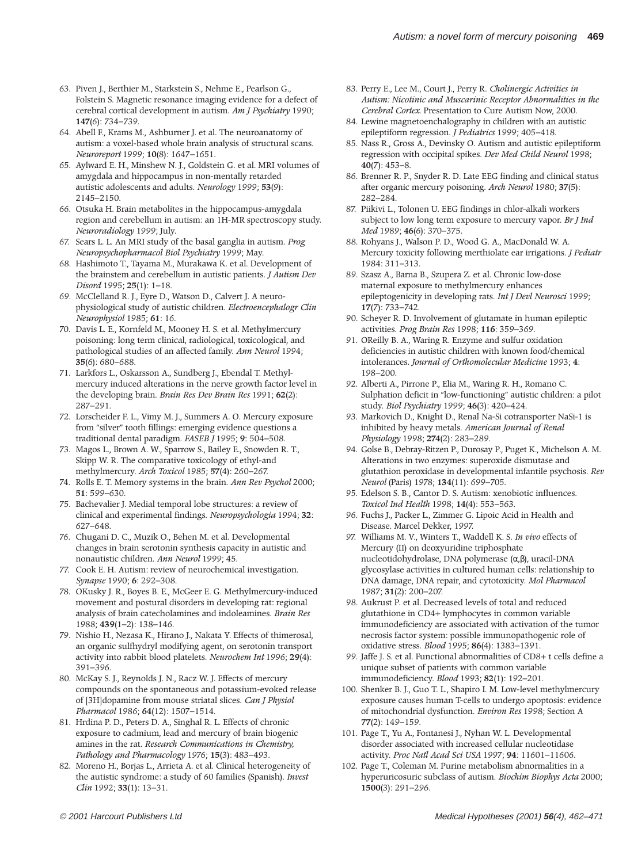- 63. Piven J., Berthier M., Starkstein S., Nehme E., Pearlson G., Folstein S. Magnetic resonance imaging evidence for a defect of cerebral cortical development in autism. *Am J Psychiatry* 1990; **147**(6): 734–739.
- 64. Abell F., Krams M., Ashburner J. et al. The neuroanatomy of autism: a voxel-based whole brain analysis of structural scans. *Neuroreport* 1999; **10**(8): 1647–1651.
- <span id="page-7-2"></span>65. Aylward E. H., Minshew N. J., Goldstein G. et al. MRI volumes of amygdala and hippocampus in non-mentally retarded autistic adolescents and adults. *Neurology* 1999; **53**(9): 2145–2150.
- 66. Otsuka H. Brain metabolites in the hippocampus-amygdala region and cerebellum in autism: an 1H-MR spectroscopy study. *Neuroradiology* 1999; July.
- 67. Sears L. L. An MRI study of the basal ganglia in autism. *Prog Neuropsychopharmacol Biol Psychiatry* 1999; May.
- 68. Hashimoto T., Tayama M., Murakawa K. et al. Development of the brainstem and cerebellum in autistic patients. *J Autism Dev Disord* 1995; **25**(1): 1–18.
- 69. McClelland R. J., Eyre D., Watson D., Calvert J. A neurophysiological study of autistic children. *Electroencephalogr Clin Neurophysiol* 1985; **61**: 16.
- <span id="page-7-0"></span>70. Davis L. E., Kornfeld M., Mooney H. S. et al. Methylmercury poisoning: long term clinical, radiological, toxicological, and pathological studies of an affected family. *Ann Neurol* 1994; **35**(6): 680–688.
- 71. Larkfors L., Oskarsson A., Sundberg J., Ebendal T. Methylmercury induced alterations in the nerve growth factor level in the developing brain. *Brain Res Dev Brain Res* 1991; **62**(2): 287–291.
- 72. Lorscheider F. L., Vimy M. J., Summers A. O. Mercury exposure from "silver" tooth fillings: emerging evidence questions a traditional dental paradigm. *FASEB J* 1995; **9**: 504–508.
- 73. Magos L., Brown A. W., Sparrow S., Bailey E., Snowden R. T., Skipp W. R. The comparative toxicology of ethyl-and methylmercury. *Arch Toxicol* 1985; **57**(4): 260–267.
- <span id="page-7-1"></span>74. Rolls E. T. Memory systems in the brain. *Ann Rev Psychol* 2000; **51**: 599–630.
- <span id="page-7-3"></span>75. Bachevalier J. Medial temporal lobe structures: a review of clinical and experimental findings. *Neuropsychologia* 1994; **32**: 627–648.
- <span id="page-7-4"></span>76. Chugani D. C., Muzik O., Behen M. et al. Developmental changes in brain serotonin synthesis capacity in autistic and nonautistic children. *Ann Neurol* 1999; 45.
- 77. Cook E. H. Autism: review of neurochemical investigation. *Synapse* 1990; **6**: 292–308.
- 78. OKusky J. R., Boyes B. E., McGeer E. G. Methylmercury-induced movement and postural disorders in developing rat: regional analysis of brain catecholamines and indoleamines. *Brain Res* 1988; **439**(1–2): 138–146.
- 79. Nishio H., Nezasa K., Hirano J., Nakata Y. Effects of thimerosal, an organic sulfhydryl modifying agent, on serotonin transport activity into rabbit blood platelets. *Neurochem Int* 1996; **29**(4): 391–396.
- 80. McKay S. J., Reynolds J. N., Racz W. J. Effects of mercury compounds on the spontaneous and potassium-evoked release of [3H]dopamine from mouse striatal slices. *Can J Physiol Pharmacol* 1986; **64**(12): 1507–1514.
- 81. Hrdina P. D., Peters D. A., Singhal R. L. Effects of chronic exposure to cadmium, lead and mercury of brain biogenic amines in the rat. *Research Communications in Chemistry, Pathology and Pharmacology* 1976; **15**(3): 483–493.
- 82. Moreno H., Borjas L., Arrieta A. et al. Clinical heterogeneity of the autistic syndrome: a study of 60 families (Spanish). *Invest Clin* 1992; **33**(1): 13–31.
- 83. Perry E., Lee M., Court J., Perry R. *Cholinergic Activities in Autism: Nicotinic and Muscarinic Receptor Abnormalities in the Cerebral Cortex*. Presentation to Cure Autism Now, 2000.
- <span id="page-7-9"></span><span id="page-7-5"></span>84. Lewine magnetoenchalography in children with an autistic epileptiform regression. *J Pediatrics* 1999; 405–418.
- <span id="page-7-6"></span>85. Nass R., Gross A., Devinsky O. Autism and autistic epileptiform regression with occipital spikes. *Dev Med Child Neurol* 1998; **40**(7): 453–8.
- <span id="page-7-7"></span>86. Brenner R. P., Snyder R. D. Late EEG finding and clinical status after organic mercury poisoning. *Arch Neurol* 1980; **37**(5): 282–284.
- 87. Piikivi L., Tolonen U. EEG findings in chlor-alkali workers subject to low long term exposure to mercury vapor. *Br J Ind Med* 1989; **46**(6): 370–375.
- <span id="page-7-19"></span>88. Rohyans J., Walson P. D., Wood G. A., MacDonald W. A. Mercury toxicity following merthiolate ear irrigations. *J Pediatr* 1984: 311–313.
- <span id="page-7-8"></span>89. Szasz A., Barna B., Szupera Z. et al. Chronic low-dose maternal exposure to methylmercury enhances epileptogenicity in developing rats. *Int J Devl Neurosci* 1999; **17**(7): 733–742.
- <span id="page-7-10"></span>90. Scheyer R. D. Involvement of glutamate in human epileptic activities. *Prog Brain Res* 1998; **116**: 359–369.
- <span id="page-7-13"></span><span id="page-7-11"></span>91. OReilly B. A., Waring R. Enzyme and sulfur oxidation deficiencies in autistic children with known food/chemical intolerances. *Journal of Orthomolecular Medicine* 1993; **4**: 198–200.
- 92. Alberti A., Pirrone P., Elia M., Waring R. H., Romano C. Sulphation deficit in "low-functioning" autistic children: a pilot study. *Biol Psychiatry* 1999; **46**(3): 420–424.
- <span id="page-7-12"></span>93. Markovich D., Knight D., Renal Na-Si cotransporter NaSi-1 is inhibited by heavy metals. *American Journal of Renal Physiology* 1998; **274**(2): 283–289.
- <span id="page-7-14"></span>94. Golse B., Debray-Ritzen P., Durosay P., Puget K., Michelson A. M. Alterations in two enzymes: superoxide dismutase and glutathion peroxidase in developmental infantile psychosis. *Rev Neurol* (Paris) 1978; **134**(11): 699–705.
- 95. Edelson S. B., Cantor D. S. Autism: xenobiotic influences. *Toxicol Ind Health* 1998; **14**(4): 553–563.
- 96. Fuchs J., Packer L., Zimmer G. Lipoic Acid in Health and Disease. Marcel Dekker, 1997.
- <span id="page-7-15"></span>97. Williams M. V., Winters T., Waddell K. S. *In vivo* effects of Mercury (II) on deoxyuridine triphosphate nucleotidohydrolase, DNA polymerase (α,β), uracil-DNA glycosylase activities in cultured human cells: relationship to DNA damage, DNA repair, and cytotoxicity. *Mol Pharmacol* 1987; **31**(2): 200–207.
- <span id="page-7-16"></span>98. Aukrust P. et al. Decreased levels of total and reduced glutathione in CD4+ lymphocytes in common variable immunodeficiency are associated with activation of the tumor necrosis factor system: possible immunopathogenic role of oxidative stress. *Blood* 1995; **86**(4): 1383–1391.
- <span id="page-7-18"></span><span id="page-7-17"></span>99. Jaffe J. S. et al. Functional abnormalities of CD8+ t cells define a unique subset of patients with common variable immunodeficiency. *Blood* 1993; **82**(1): 192–201.
- 100. Shenker B. J., Guo T. L., Shapiro I. M. Low-level methylmercury exposure causes human T-cells to undergo apoptosis: evidence of mitochondrial dysfunction. *Environ Res* 1998; Section A **77**(2): 149–159.
- 101. Page T., Yu A., Fontanesi J., Nyhan W. L. Developmental disorder associated with increased cellular nucleotidase activity. *Proc Natl Acad Sci USA* 1997; **94**: 11601–11606.
- 102. Page T., Coleman M. Purine metabolism abnormalities in a hyperuricosuric subclass of autism. *Biochim Biophys Acta* 2000; **1500**(3): 291–296.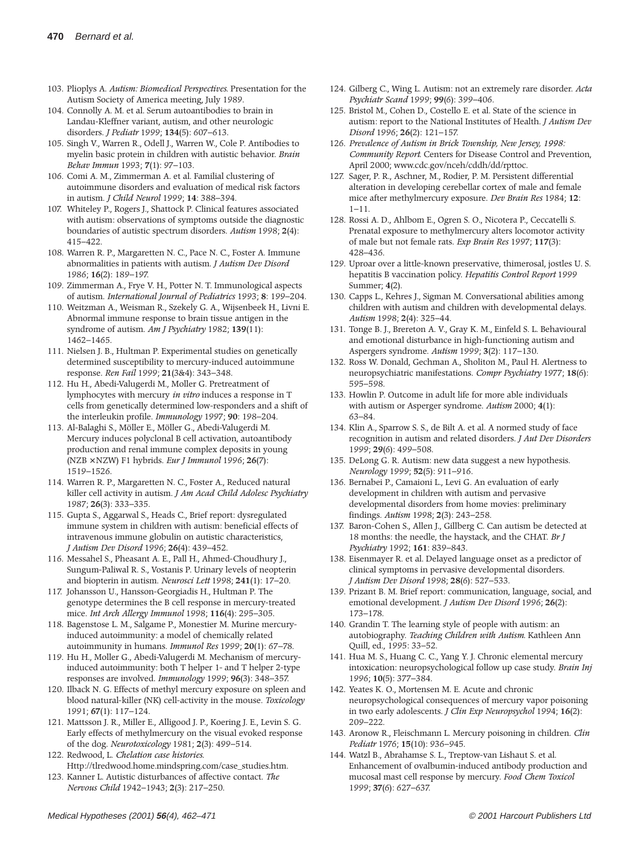- <span id="page-8-0"></span>103. Plioplys A. *Autism: Biomedical Perspectives*. Presentation for the Autism Society of America meeting, July 1989.
- 104. Connolly A. M. et al. Serum autoantibodies to brain in Landau-Kleffner variant, autism, and other neurologic disorders. *J Pediatr* 1999; **134**(5): 607–613.
- 105. Singh V., Warren R., Odell J., Warren W., Cole P. Antibodies to myelin basic protein in children with autistic behavior. *Brain Behav Immun* 1993; **7**(1): 97–103.
- <span id="page-8-10"></span>106. Comi A. M., Zimmerman A. et al. Familial clustering of autoimmune disorders and evaluation of medical risk factors in autism. *J Child Neurol* 1999; **14**: 388–394.
- 107. Whiteley P., Rogers J., Shattock P. Clinical features associated with autism: observations of symptoms outside the diagnostic boundaries of autistic spectrum disorders. *Autism* 1998; **2**(4): 415–422.
- 108. Warren R. P., Margaretten N. C., Pace N. C., Foster A. Immune abnormalities in patients with autism. *J Autism Dev Disord* 1986; **16**(2): 189–197.
- 109. Zimmerman A., Frye V. H., Potter N. T. Immunological aspects of autism. *International Journal of Pediatrics* 1993; **8**: 199–204.
- 110. Weitzman A., Weisman R., Szekely G. A., Wijsenbeek H., Livni E. Abnormal immune response to brain tissue antigen in the syndrome of autism. *Am J Psychiatry* 1982; **139**(11): 1462–1465.
- <span id="page-8-1"></span>111. Nielsen J. B., Hultman P. Experimental studies on genetically determined susceptibility to mercury-induced autoimmune response. *Ren Fail* 1999; **21**(3&4): 343–348.
- 112. Hu H., Abedi-Valugerdi M., Moller G. Pretreatment of lymphocytes with mercury *in vitro* induces a response in T cells from genetically determined low-responders and a shift of the interleukin profile. *Immunology* 1997; **90**: 198–204.
- <span id="page-8-9"></span><span id="page-8-2"></span>113. Al-Balaghi S., Möller E., Möller G., Abedi-Valugerdi M. Mercury induces polyclonal B cell activation, autoantibody production and renal immune complex deposits in young (NZB × NZW) F1 hybrids. *Eur J Immunol* 1996; **26**(7): 1519–1526.
- <span id="page-8-3"></span>114. Warren R. P., Margaretten N. C., Foster A., Reduced natural killer cell activity in autism. *J Am Acad Child Adolesc Psychiatry* 1987; **26**(3): 333–335.
- 115. Gupta S., Aggarwal S., Heads C., Brief report: dysregulated immune system in children with autism: beneficial effects of intravenous immune globulin on autistic characteristics, *J Autism Dev Disord* 1996; **26**(4): 439–452.
- 116. Messahel S., Pheasant A. E., Pall H., Ahmed-Choudhury J., Sungum-Paliwal R. S., Vostanis P. Urinary levels of neopterin and biopterin in autism. *Neurosci Lett* 1998; **241**(1): 17–20.
- <span id="page-8-4"></span>117. Johansson U., Hansson-Georgiadis H., Hultman P. The genotype determines the B cell response in mercury-treated mice. *Int Arch Allergy Immunol* 1998; **116**(4): 295–305.
- 118. Bagenstose L. M., Salgame P., Monestier M. Murine mercuryinduced autoimmunity: a model of chemically related autoimmunity in humans. *Immunol Res* 1999; **20**(1): 67–78.
- <span id="page-8-5"></span>119. Hu H., Moller G., Abedi-Valugerdi M. Mechanism of mercuryinduced autoimmunity: both T helper 1- and T helper 2-type responses are involved. *Immunology* 1999; **96**(3): 348–357.
- 120. Ilback N. G. Effects of methyl mercury exposure on spleen and blood natural-killer (NK) cell-activity in the mouse. *Toxicology* 1991; **67**(1): 117–124.
- 121. Mattsson J. R., Miller E., Alligood J. P., Koering J. E., Levin S. G. Early effects of methylmercury on the visual evoked response of the dog. *Neurotoxicology* 1981; **2**(3): 499–514.
- 122. Redwood, L. *Chelation case histories*. Http://tlredwood.home.mindspring.com/case\_studies.htm.
- 123. Kanner L. Autistic disturbances of affective contact. *The Nervous Child* 1942–1943; **2**(3): 217–250.
- <span id="page-8-6"></span>124. Gilberg C., Wing L. Autism: not an extremely rare disorder. *Acta Psychiatr Scand* 1999; **99**(6): 399–406.
- <span id="page-8-7"></span>125. Bristol M., Cohen D., Costello E. et al. State of the science in autism: report to the National Institutes of Health. *J Autism Dev Disord* 1996; **26**(2): 121–157.
- <span id="page-8-8"></span>126. *Prevalence of Autism in Brick Township, New Jersey, 1998: Community Report*. Centers for Disease Control and Prevention, April 2000; www.cdc.gov/nceh/cddh/dd/rpttoc.
- <span id="page-8-11"></span>127. Sager, P. R., Aschner, M., Rodier, P. M. Persistent differential alteration in developing cerebellar cortex of male and female mice after methylmercury exposure. *Dev Brain Res* 1984; **12**:  $1 - 11$ .
- 128. Rossi A. D., Ahlbom E., Ogren S. O., Nicotera P., Ceccatelli S. Prenatal exposure to methylmercury alters locomotor activity of male but not female rats. *Exp Brain Res* 1997; **117**(3): 428–436.
- <span id="page-8-12"></span>129. Uproar over a little-known preservative, thimerosal, jostles U. S. hepatitis B vaccination policy. *Hepatitis Control Report* 1999 Summer; **4**(2).
- 130. Capps L., Kehres J., Sigman M. Conversational abilities among children with autism and children with developmental delays. *Autism* 1998; **2**(4): 325–44.
- 131. Tonge B. J., Brereton A. V., Gray K. M., Einfeld S. L. Behavioural and emotional disturbance in high-functioning autism and Aspergers syndrome. *Autism* 1999; **3**(2): 117–130.
- 132. Ross W. Donald, Gechman A., Sholiton M., Paul H. Alertness to neuropsychiatric manifestations. *Compr Psychiatry* 1977; **18**(6): 595–598.
- 133. Howlin P. Outcome in adult life for more able individuals with autism or Asperger syndrome. *Autism* 2000; **4**(1): 63–84.
- 134. Klin A., Sparrow S. S., de Bilt A. et al. A normed study of face recognition in autism and related disorders. *J Aut Dev Disorders* 1999; **29**(6): 499–508.
- 135. DeLong G. R. Autism: new data suggest a new hypothesis. *Neurology* 1999; **52**(5): 911–916.
- 136. Bernabei P., Camaioni L., Levi G. An evaluation of early development in children with autism and pervasive developmental disorders from home movies: preliminary findings. *Autism* 1998; **2**(3): 243–258.
- 137. Baron-Cohen S., Allen J., Gillberg C. Can autism be detected at 18 months: the needle, the haystack, and the CHAT. *Br J Psychiatry* 1992; **161**: 839–843.
- 138. Eisenmayer R. et al. Delayed language onset as a predictor of clinical symptoms in pervasive developmental disorders. *J Autism Dev Disord* 1998; **28**(6): 527–533.
- 139. Prizant B. M. Brief report: communication, language, social, and emotional development. *J Autism Dev Disord* 1996; **26**(2): 173–178.
- 140. Grandin T. The learning style of people with autism: an autobiography. *Teaching Children with Autism*. Kathleen Ann Quill, ed., 1995: 33–52.
- 141. Hua M. S., Huang C. C., Yang Y. J. Chronic elemental mercury intoxication: neuropsychological follow up case study. *Brain Inj* 1996; **10**(5): 377–384.
- 142. Yeates K. O., Mortensen M. E. Acute and chronic neuropsychological consequences of mercury vapor poisoning in two early adolescents. *J Clin Exp Neuropsychol* 1994; **16**(2): 209–222.
- 143. Aronow R., Fleischmann L. Mercury poisoning in children. *Clin Pediatr* 1976; **15**(10): 936–945.
- 144. Watzl B., Abrahamse S. L., Treptow-van Lishaut S. et al. Enhancement of ovalbumin-induced antibody production and mucosal mast cell response by mercury. *Food Chem Toxicol* 1999; **37**(6): 627–637.